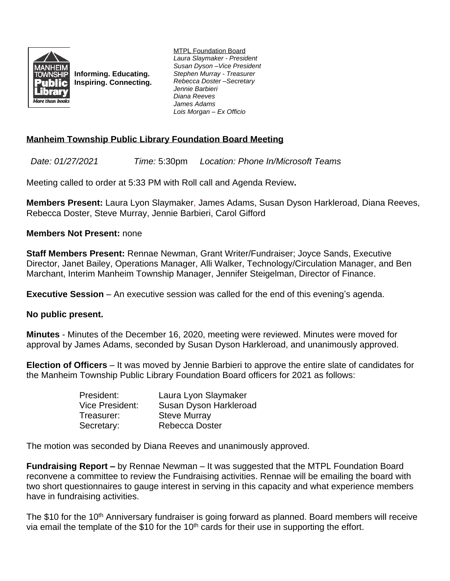

**Informing. Educating. Inspiring. Connecting.** MTPL Foundation Board *Laura Slaymaker - President Susan Dyson –Vice President Stephen Murray - Treasurer Rebecca Doster –Secretary Jennie Barbieri Diana Reeves James Adams Lois Morgan – Ex Officio*

## **Manheim Township Public Library Foundation Board Meeting**

*Date: 01/27/2021 Time:* 5:30pm *Location: Phone In/Microsoft Teams*

Meeting called to order at 5:33 PM with Roll call and Agenda Review**.**

**Members Present:** Laura Lyon Slaymaker, James Adams, Susan Dyson Harkleroad, Diana Reeves, Rebecca Doster, Steve Murray, Jennie Barbieri, Carol Gifford

## **Members Not Present:** none

**Staff Members Present:** Rennae Newman, Grant Writer/Fundraiser; Joyce Sands, Executive Director, Janet Bailey, Operations Manager, Alli Walker, Technology/Circulation Manager, and Ben Marchant, Interim Manheim Township Manager, Jennifer Steigelman, Director of Finance.

**Executive Session** – An executive session was called for the end of this evening's agenda.

## **No public present.**

**Minutes** - Minutes of the December 16, 2020, meeting were reviewed. Minutes were moved for approval by James Adams, seconded by Susan Dyson Harkleroad, and unanimously approved.

**Election of Officers** – It was moved by Jennie Barbieri to approve the entire slate of candidates for the Manheim Township Public Library Foundation Board officers for 2021 as follows:

| President:      | Laura Lyon Slaymaker   |
|-----------------|------------------------|
| Vice President: | Susan Dyson Harkleroad |
| Treasurer:      | <b>Steve Murray</b>    |
| Secretary:      | Rebecca Doster         |

The motion was seconded by Diana Reeves and unanimously approved.

**Fundraising Report –** by Rennae Newman – It was suggested that the MTPL Foundation Board reconvene a committee to review the Fundraising activities. Rennae will be emailing the board with two short questionnaires to gauge interest in serving in this capacity and what experience members have in fundraising activities.

The \$10 for the 10<sup>th</sup> Anniversary fundraiser is going forward as planned. Board members will receive via email the template of the \$10 for the  $10<sup>th</sup>$  cards for their use in supporting the effort.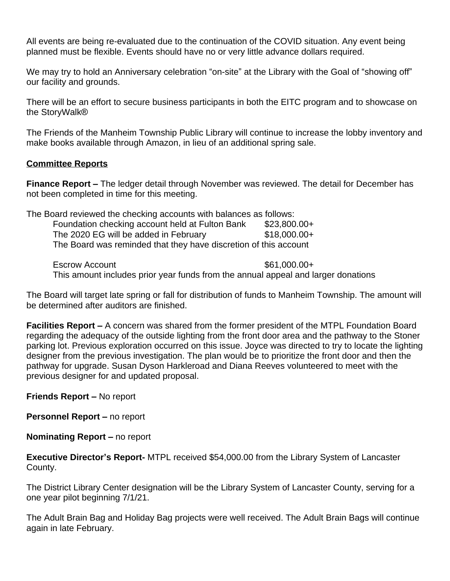All events are being re-evaluated due to the continuation of the COVID situation. Any event being planned must be flexible. Events should have no or very little advance dollars required.

We may try to hold an Anniversary celebration "on-site" at the Library with the Goal of "showing off" our facility and grounds.

There will be an effort to secure business participants in both the EITC program and to showcase on the StoryWalk®

The Friends of the Manheim Township Public Library will continue to increase the lobby inventory and make books available through Amazon, in lieu of an additional spring sale.

## **Committee Reports**

**Finance Report –** The ledger detail through November was reviewed. The detail for December has not been completed in time for this meeting.

The Board reviewed the checking accounts with balances as follows:

| Foundation checking account held at Fulton Bank                  | $$23,800.00+$ |
|------------------------------------------------------------------|---------------|
| The 2020 EG will be added in February                            | $$18,000.00+$ |
| The Board was reminded that they have discretion of this account |               |

Escrow Account  $$61,000.00+$ This amount includes prior year funds from the annual appeal and larger donations

The Board will target late spring or fall for distribution of funds to Manheim Township. The amount will be determined after auditors are finished.

**Facilities Report –** A concern was shared from the former president of the MTPL Foundation Board regarding the adequacy of the outside lighting from the front door area and the pathway to the Stoner parking lot. Previous exploration occurred on this issue. Joyce was directed to try to locate the lighting designer from the previous investigation. The plan would be to prioritize the front door and then the pathway for upgrade. Susan Dyson Harkleroad and Diana Reeves volunteered to meet with the previous designer for and updated proposal.

**Friends Report –** No report

**Personnel Report – no report** 

**Nominating Report –** no report

**Executive Director's Report-** MTPL received \$54,000.00 from the Library System of Lancaster County.

The District Library Center designation will be the Library System of Lancaster County, serving for a one year pilot beginning 7/1/21.

The Adult Brain Bag and Holiday Bag projects were well received. The Adult Brain Bags will continue again in late February.